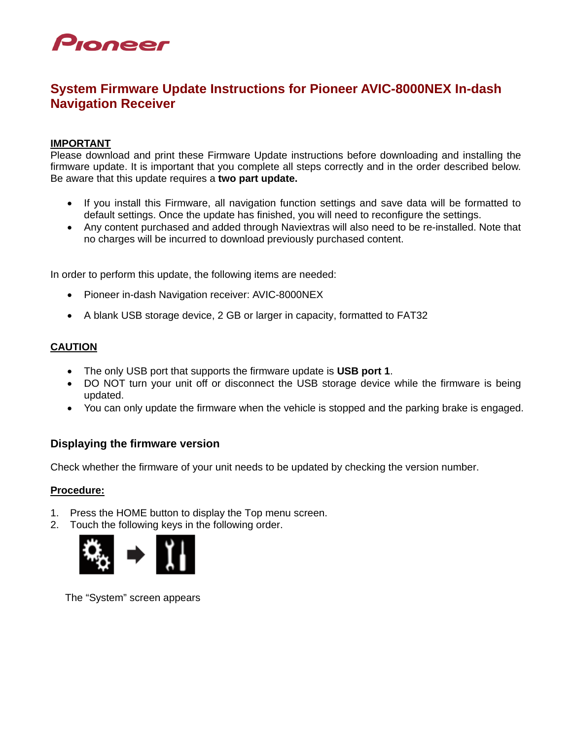

# **System Firmware Update Instructions for Pioneer AVIC-8000NEX In-dash Navigation Receiver**

#### **IMPORTANT**

Please download and print these Firmware Update instructions before downloading and installing the firmware update. It is important that you complete all steps correctly and in the order described below. Be aware that this update requires a **two part update.**

- If you install this Firmware, all navigation function settings and save data will be formatted to default settings. Once the update has finished, you will need to reconfigure the settings.
- Any content purchased and added through Naviextras will also need to be re-installed. Note that no charges will be incurred to download previously purchased content.

In order to perform this update, the following items are needed:

- Pioneer in-dash Navigation receiver: AVIC-8000NEX
- A blank USB storage device, 2 GB or larger in capacity, formatted to FAT32

#### **CAUTION**

- The only USB port that supports the firmware update is **USB port 1**.
- DO NOT turn your unit off or disconnect the USB storage device while the firmware is being updated.
- You can only update the firmware when the vehicle is stopped and the parking brake is engaged.

## **Displaying the firmware version**

Check whether the firmware of your unit needs to be updated by checking the version number.

#### **Procedure:**

- 1. Press the HOME button to display the Top menu screen.
- 2. Touch the following keys in the following order.



The "System" screen appears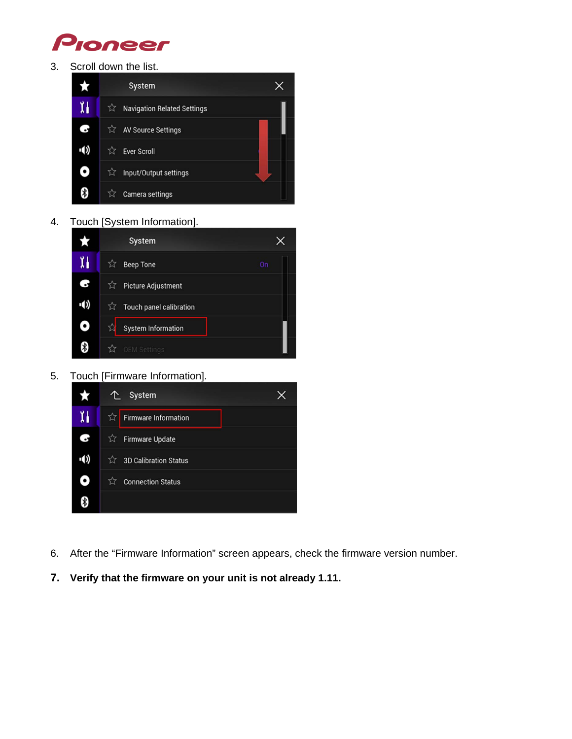

3. Scroll down the list.



4. Touch [System Information].



5. Touch [Firmware Information].



- 6. After the "Firmware Information" screen appears, check the firmware version number.
- **7. Verify that the firmware on your unit is not already 1.11.**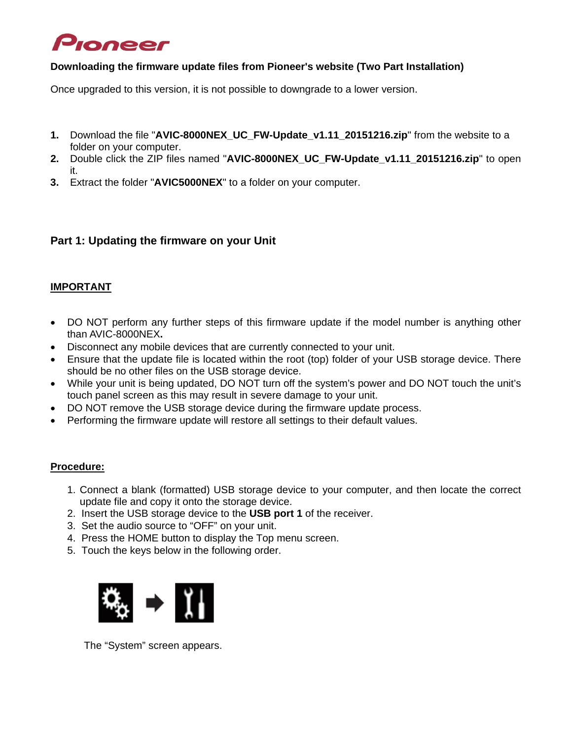# Pioneer

#### **Downloading the firmware update files from Pioneer's website (Two Part Installation)**

Once upgraded to this version, it is not possible to downgrade to a lower version.

- **1.** Download the file "**AVIC-8000NEX\_UC\_FW-Update\_v1.11\_20151216.zip**" from the website to a folder on your computer.
- **2.** Double click the ZIP files named "**AVIC-8000NEX\_UC\_FW-Update\_v1.11\_20151216.zip**" to open it.
- **3.** Extract the folder "**AVIC5000NEX**" to a folder on your computer.

# **Part 1: Updating the firmware on your Unit**

#### **IMPORTANT**

- DO NOT perform any further steps of this firmware update if the model number is anything other than AVIC-8000NEX**.**
- Disconnect any mobile devices that are currently connected to your unit.
- Ensure that the update file is located within the root (top) folder of your USB storage device. There should be no other files on the USB storage device.
- While your unit is being updated, DO NOT turn off the system's power and DO NOT touch the unit's touch panel screen as this may result in severe damage to your unit.
- DO NOT remove the USB storage device during the firmware update process.
- Performing the firmware update will restore all settings to their default values.

#### **Procedure:**

- 1. Connect a blank (formatted) USB storage device to your computer, and then locate the correct update file and copy it onto the storage device.
- 2. Insert the USB storage device to the **USB port 1** of the receiver.
- 3. Set the audio source to "OFF" on your unit.
- 4. Press the HOME button to display the Top menu screen.
- 5. Touch the keys below in the following order.



The "System" screen appears.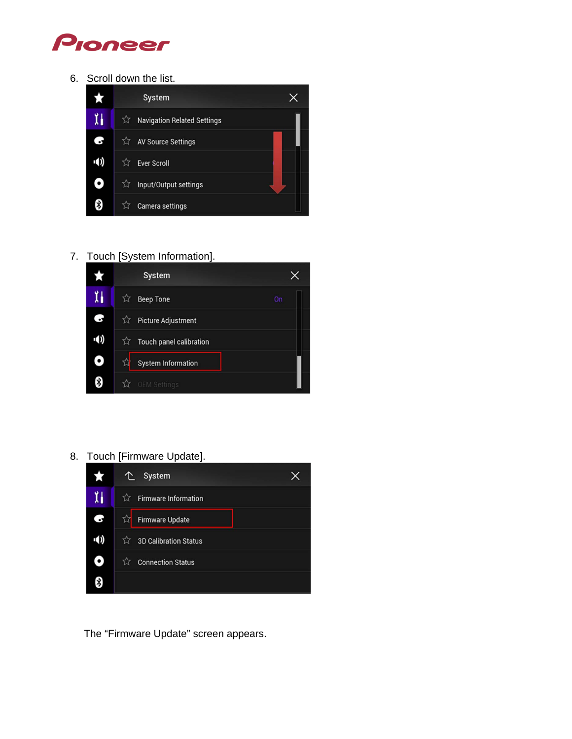

6. Scroll down the list.



7. Touch [System Information].



8. Touch [Firmware Update].



The "Firmware Update" screen appears.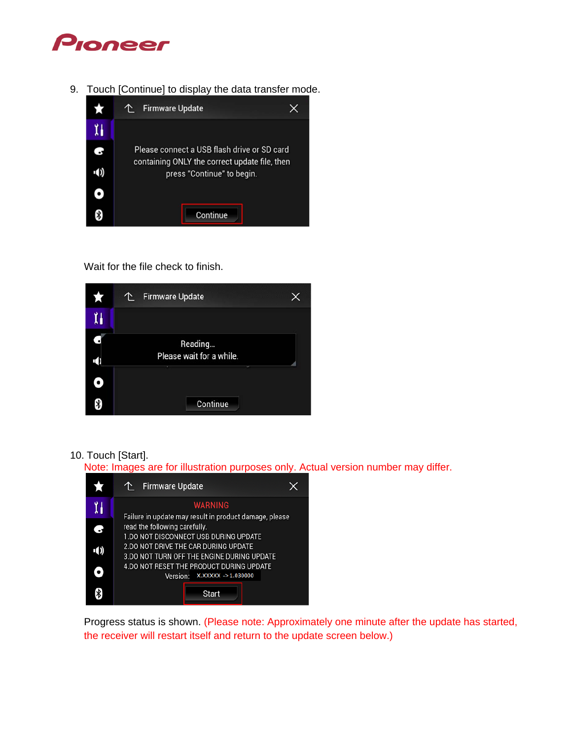

9. Touch [Continue] to display the data transfer mode.



Wait for the file check to finish.



#### 10. Touch [Start].

Note: Images are for illustration purposes only. Actual version number may differ.



Progress status is shown. (Please note: Approximately one minute after the update has started, the receiver will restart itself and return to the update screen below.)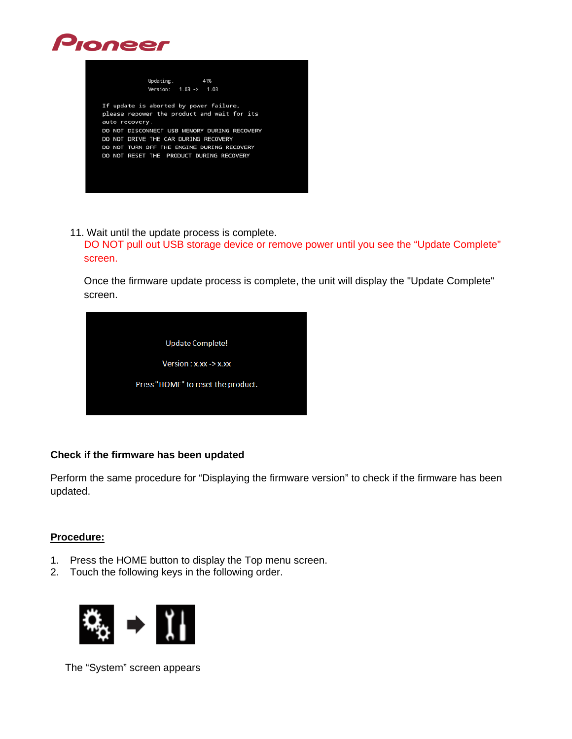



11. Wait until the update process is complete.

DO NOT pull out USB storage device or remove power until you see the "Update Complete" screen.

Once the firmware update process is complete, the unit will display the "Update Complete" screen.

| <b>Update Complete!</b>            |  |
|------------------------------------|--|
| Version: x.xx -> x.xx              |  |
| Press "HOME" to reset the product. |  |
|                                    |  |

#### **Check if the firmware has been updated**

Perform the same procedure for "Displaying the firmware version" to check if the firmware has been updated.

#### **Procedure:**

- 1. Press the HOME button to display the Top menu screen.
- 2. Touch the following keys in the following order.



The "System" screen appears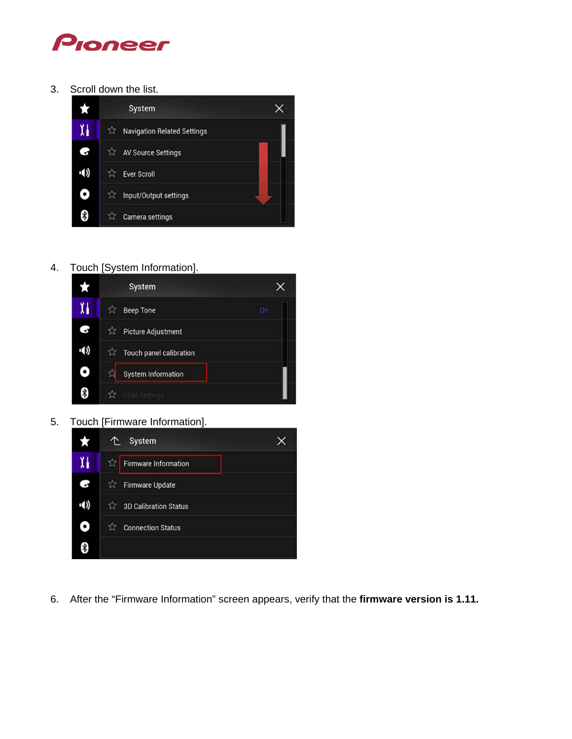

3. Scroll down the list.



4. Touch [System Information].



5. Touch [Firmware Information].



6. After the "Firmware Information" screen appears, verify that the **firmware version is 1.11.**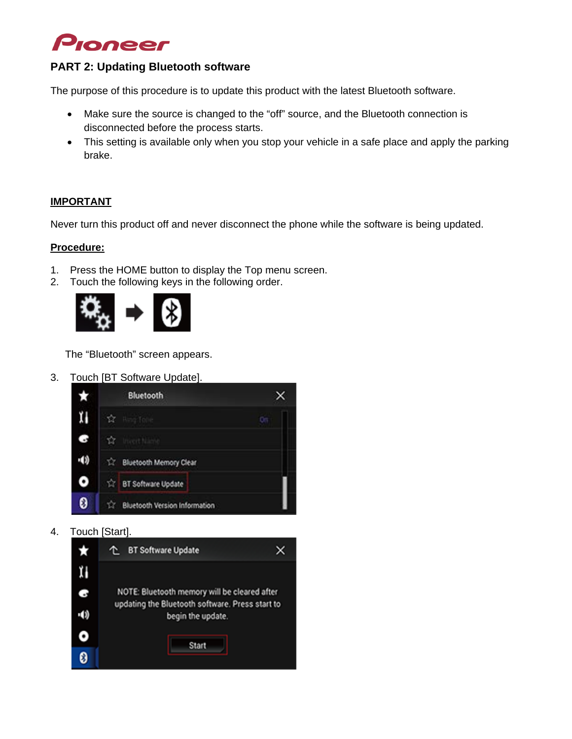

## **PART 2: Updating Bluetooth software**

The purpose of this procedure is to update this product with the latest Bluetooth software.

- Make sure the source is changed to the "off" source, and the Bluetooth connection is disconnected before the process starts.
- This setting is available only when you stop your vehicle in a safe place and apply the parking brake.

#### **IMPORTANT**

Never turn this product off and never disconnect the phone while the software is being updated.

#### **Procedure:**

- 1. Press the HOME button to display the Top menu screen.
- 2. Touch the following keys in the following order.



The "Bluetooth" screen appears.

3. Touch [BT Software Update].



4. Touch [Start].

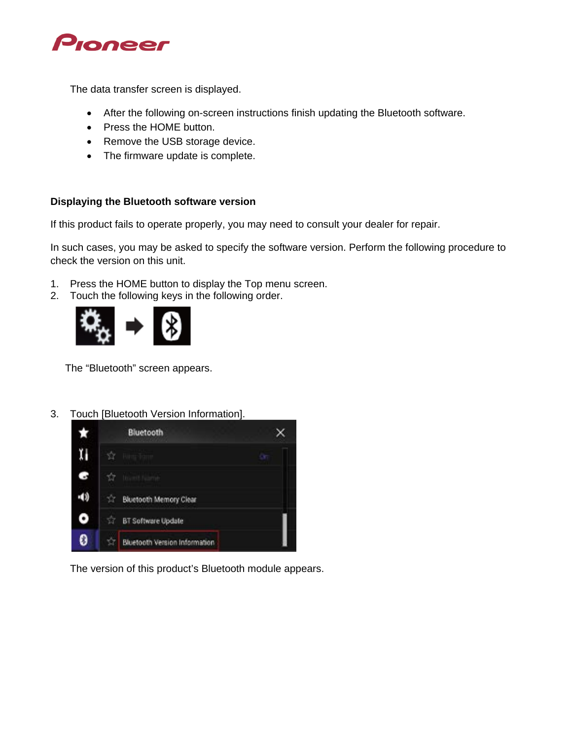

The data transfer screen is displayed.

- After the following on-screen instructions finish updating the Bluetooth software.
- Press the HOME button.
- Remove the USB storage device.
- The firmware update is complete.

#### **Displaying the Bluetooth software version**

If this product fails to operate properly, you may need to consult your dealer for repair.

In such cases, you may be asked to specify the software version. Perform the following procedure to check the version on this unit.

- 1. Press the HOME button to display the Top menu screen.
- 2. Touch the following keys in the following order.



The "Bluetooth" screen appears.

3. Touch [Bluetooth Version Information].



The version of this product's Bluetooth module appears.